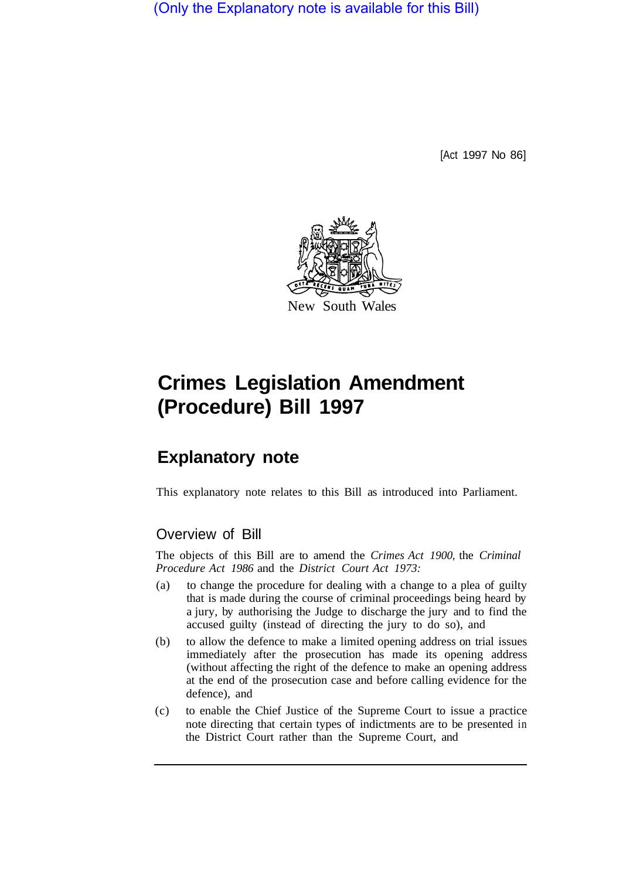(Only the Explanatory note is available for this Bill)

[Act 1997 No 86]



# **Crimes Legislation Amendment (Procedure) Bill 1997**

## **Explanatory note**

This explanatory note relates to this Bill as introduced into Parliament.

### Overview of Bill

The objects of this Bill are to amend the *Crimes Act 1900,* the *Criminal Procedure Act 1986* and the *District Court Act 1973:* 

- (a) to change the procedure for dealing with a change to a plea of guilty that is made during the course of criminal proceedings being heard by a jury, by authorising the Judge to discharge the jury and to find the accused guilty (instead of directing the jury to do so), and
- (b) to allow the defence to make a limited opening address on trial issues immediately after the prosecution has made its opening address (without affecting the right of the defence to make an opening address at the end of the prosecution case and before calling evidence for the defence), and
- (c) to enable the Chief Justice of the Supreme Court to issue a practice note directing that certain types of indictments are to be presented in the District Court rather than the Supreme Court, and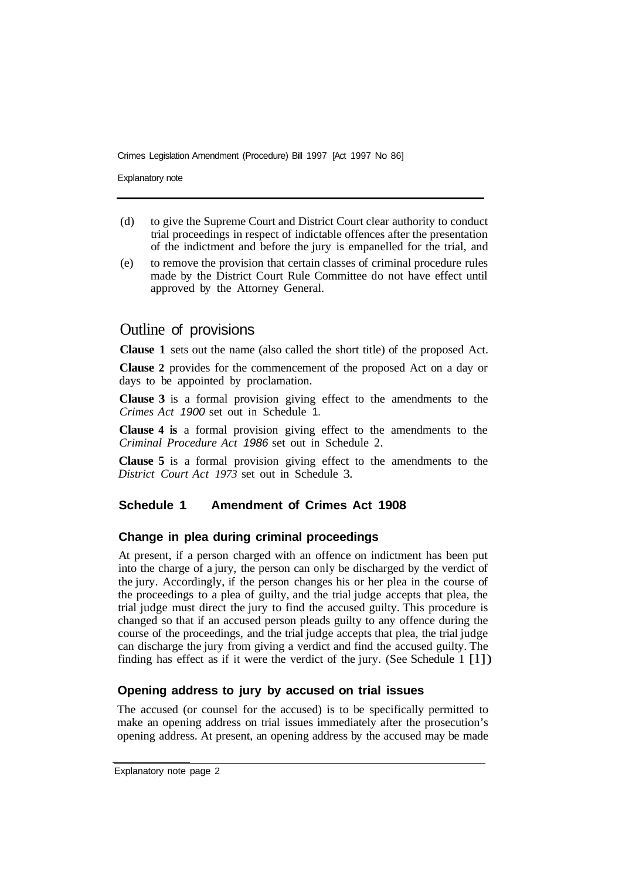Crimes Legislation Amendment (Procedure) Bill 1997 [Act 1997 No 86]

Explanatory note

- (d) to give the Supreme Court and District Court clear authority to conduct trial proceedings in respect of indictable offences after the presentation of the indictment and before the jury is empanelled for the trial, and
- (e) to remove the provision that certain classes of criminal procedure rules made by the District Court Rule Committee do not have effect until approved by the Attorney General.

#### Outline of provisions

**Clause 1** sets out the name (also called the short title) of the proposed Act.

**Clause 2** provides for the commencement of the proposed Act on a day or days to be appointed by proclamation.

**Clause 3** is a formal provision giving effect to the amendments to the *Crimes Act 1900* set out in Schedule 1.

**Clause 4 is** a formal provision giving effect to the amendments to the *Criminal Procedure Act 1986* set out in Schedule 2.

**Clause 5** is a formal provision giving effect to the amendments to the *District Court Act 1973* set out in Schedule 3.

#### **Schedule 1 Amendment of Crimes Act 1908**

#### **Change in plea during criminal proceedings**

At present, if a person charged with an offence on indictment has been put into the charge of a jury, the person can only be discharged by the verdict of the jury. Accordingly, if the person changes his or her plea in the course of the proceedings to a plea of guilty, and the trial judge accepts that plea, the trial judge must direct the jury to find the accused guilty. This procedure is changed so that if an accused person pleads guilty to any offence during the course of the proceedings, and the trial judge accepts that plea, the trial judge can discharge the jury from giving a verdict and find the accused guilty. The finding has effect as if it were the verdict of the jury. (See Schedule 1 [l])

#### **Opening address to jury by accused on trial issues**

The accused (or counsel for the accused) is to be specifically permitted to make an opening address on trial issues immediately after the prosecution's opening address. At present, an opening address by the accused may be made